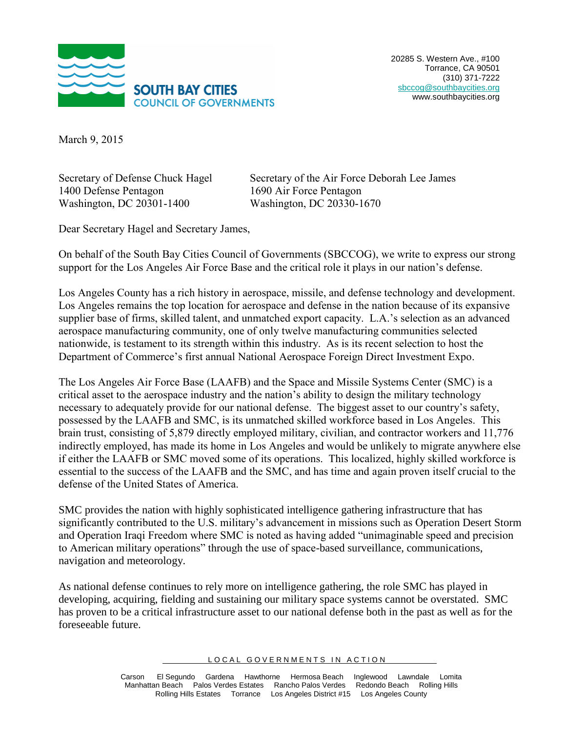

March 9, 2015

Secretary of Defense Chuck Hagel 1400 Defense Pentagon Washington, DC 20301-1400

Secretary of the Air Force Deborah Lee James 1690 Air Force Pentagon Washington, DC 20330-1670

Dear Secretary Hagel and Secretary James,

On behalf of the South Bay Cities Council of Governments (SBCCOG), we write to express our strong support for the Los Angeles Air Force Base and the critical role it plays in our nation's defense.

Los Angeles County has a rich history in aerospace, missile, and defense technology and development. Los Angeles remains the top location for aerospace and defense in the nation because of its expansive supplier base of firms, skilled talent, and unmatched export capacity. L.A.'s selection as an advanced aerospace manufacturing community, one of only twelve manufacturing communities selected nationwide, is testament to its strength within this industry. As is its recent selection to host the Department of Commerce's first annual National Aerospace Foreign Direct Investment Expo.

The Los Angeles Air Force Base (LAAFB) and the Space and Missile Systems Center (SMC) is a critical asset to the aerospace industry and the nation's ability to design the military technology necessary to adequately provide for our national defense. The biggest asset to our country's safety, possessed by the LAAFB and SMC, is its unmatched skilled workforce based in Los Angeles. This brain trust, consisting of 5,879 directly employed military, civilian, and contractor workers and 11,776 indirectly employed, has made its home in Los Angeles and would be unlikely to migrate anywhere else if either the LAAFB or SMC moved some of its operations. This localized, highly skilled workforce is essential to the success of the LAAFB and the SMC, and has time and again proven itself crucial to the defense of the United States of America.

SMC provides the nation with highly sophisticated intelligence gathering infrastructure that has significantly contributed to the U.S. military's advancement in missions such as Operation Desert Storm and Operation Iraqi Freedom where SMC is noted as having added "unimaginable speed and precision to American military operations" through the use of space-based surveillance, communications, navigation and meteorology.

As national defense continues to rely more on intelligence gathering, the role SMC has played in developing, acquiring, fielding and sustaining our military space systems cannot be overstated. SMC has proven to be a critical infrastructure asset to our national defense both in the past as well as for the foreseeable future.

LOCAL GOVERNMENTS IN ACTION